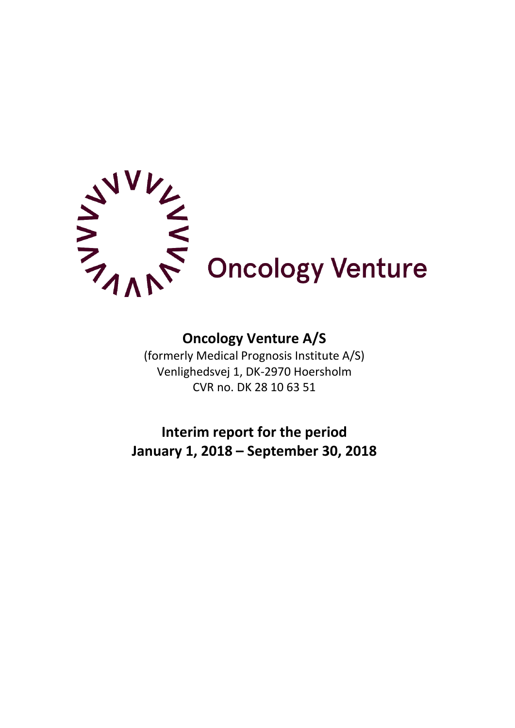

# **Oncology Venture A/S**

(formerly Medical Prognosis Institute A/S) Venlighedsvej 1, DK-2970 Hoersholm CVR no. DK 28 10 63 51

**Interim report for the period January 1, 2018 – September 30, 2018**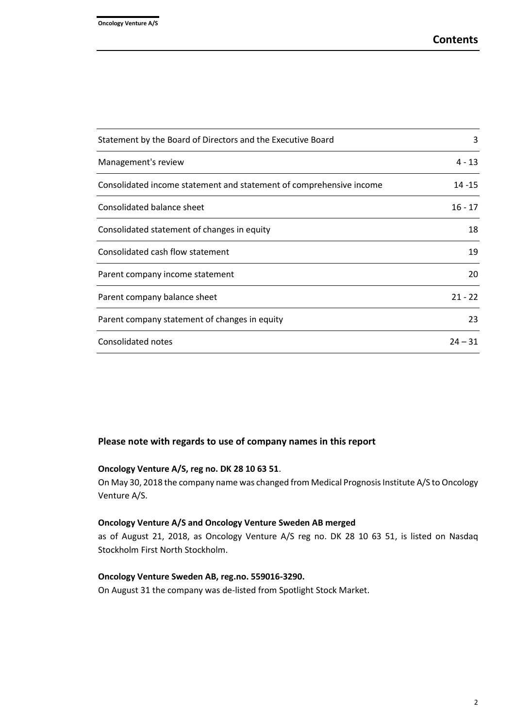| Statement by the Board of Directors and the Executive Board         | 3         |
|---------------------------------------------------------------------|-----------|
| Management's review                                                 | $4 - 13$  |
| Consolidated income statement and statement of comprehensive income | $14 - 15$ |
| Consolidated balance sheet                                          | $16 - 17$ |
| Consolidated statement of changes in equity                         | 18        |
| Consolidated cash flow statement                                    | 19        |
| Parent company income statement                                     | 20        |
| Parent company balance sheet                                        | $21 - 22$ |
| Parent company statement of changes in equity                       | 23        |
| Consolidated notes                                                  | $24 - 31$ |

#### **Please note with regards to use of company names in this report**

## **Oncology Venture A/S, reg no. DK 28 10 63 51**.

On May 30, 2018 the company name was changed from Medical Prognosis Institute A/S to Oncology Venture A/S.

#### **Oncology Venture A/S and Oncology Venture Sweden AB merged**

as of August 21, 2018, as Oncology Venture A/S reg no. DK 28 10 63 51, is listed on Nasdaq Stockholm First North Stockholm.

## **Oncology Venture Sweden AB, reg.no. 559016-3290.**

On August 31 the company was de-listed from Spotlight Stock Market.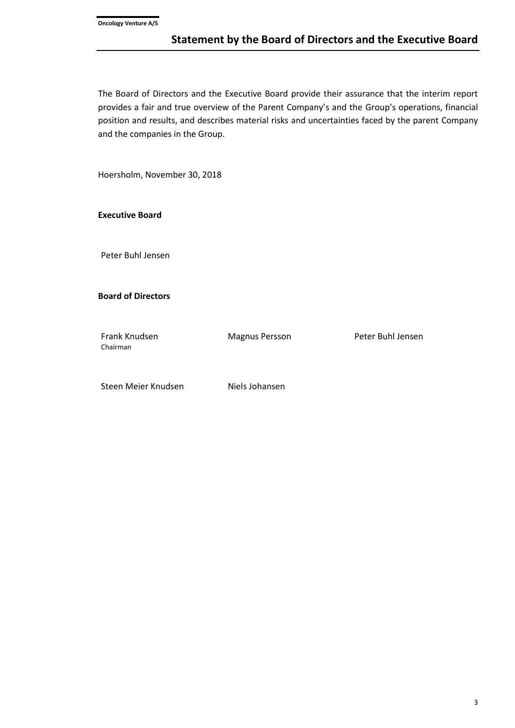The Board of Directors and the Executive Board provide their assurance that the interim report provides a fair and true overview of the Parent Company's and the Group's operations, financial position and results, and describes material risks and uncertainties faced by the parent Company and the companies in the Group.

Hoersholm, November 30, 2018

**Executive Board**

Peter Buhl Jensen

**Board of Directors**

Chairman

Frank Knudsen Magnus Persson Peter Buhl Jensen

Steen Meier Knudsen Niels Johansen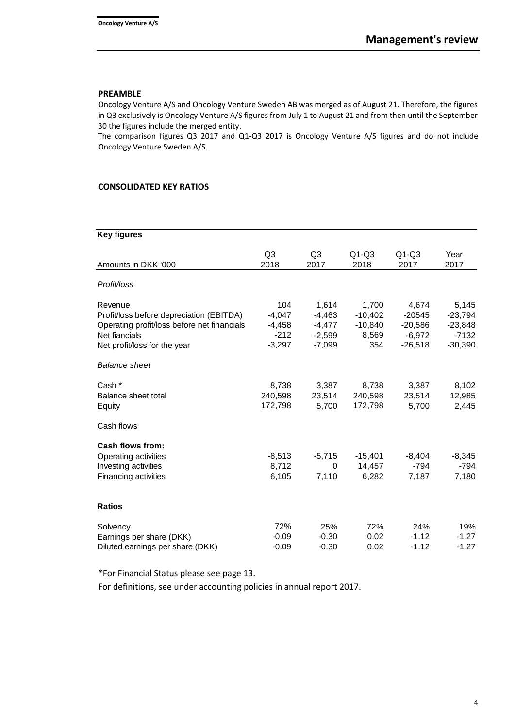## **PREAMBLE**

Oncology Venture A/S and Oncology Venture Sweden AB was merged as of August 21. Therefore, the figures in Q3 exclusively is Oncology Venture A/S figures from July 1 to August 21 and from then until the September 30 the figures include the merged entity.

The comparison figures Q3 2017 and Q1-Q3 2017 is Oncology Venture A/S figures and do not include Oncology Venture Sweden A/S.

#### **CONSOLIDATED KEY RATIOS**

## **Key figures**

| Amounts in DKK '000                         | Q <sub>3</sub><br>2018 | Q <sub>3</sub><br>2017 | $Q1-Q3$<br>2018 | $Q1-Q3$<br>2017 | Year<br>2017 |
|---------------------------------------------|------------------------|------------------------|-----------------|-----------------|--------------|
| Profit/loss                                 |                        |                        |                 |                 |              |
| Revenue                                     | 104                    | 1,614                  | 1,700           | 4,674           | 5,145        |
| Profit/loss before depreciation (EBITDA)    | $-4,047$               | $-4,463$               | $-10,402$       | $-20545$        | $-23,794$    |
| Operating profit/loss before net financials | $-4,458$               | $-4,477$               | $-10,840$       | $-20,586$       | $-23,848$    |
| Net fiancials                               | $-212$                 | $-2,599$               | 8,569           | $-6,972$        | $-7132$      |
| Net profit/loss for the year                | $-3,297$               | $-7,099$               | 354             | $-26,518$       | $-30,390$    |
| <b>Balance sheet</b>                        |                        |                        |                 |                 |              |
| Cash *                                      | 8,738                  | 3,387                  | 8,738           | 3,387           | 8,102        |
| Balance sheet total                         | 240,598                | 23,514                 | 240,598         | 23,514          | 12,985       |
| Equity                                      | 172,798                | 5,700                  | 172,798         | 5,700           | 2,445        |
| Cash flows                                  |                        |                        |                 |                 |              |
| <b>Cash flows from:</b>                     |                        |                        |                 |                 |              |
| Operating activities                        | $-8,513$               | $-5,715$               | $-15,401$       | $-8,404$        | $-8,345$     |
| Investing activities                        | 8,712                  | 0                      | 14,457          | $-794$          | $-794$       |
| Financing activities                        | 6,105                  | 7,110                  | 6,282           | 7,187           | 7,180        |
| <b>Ratios</b>                               |                        |                        |                 |                 |              |
| Solvency                                    | 72%                    | 25%                    | 72%             | 24%             | 19%          |
| Earnings per share (DKK)                    | $-0.09$                | $-0.30$                | 0.02            | $-1.12$         | $-1.27$      |
| Diluted earnings per share (DKK)            | $-0.09$                | $-0.30$                | 0.02            | $-1.12$         | $-1.27$      |

\*For Financial Status please see page 13.

For definitions, see under accounting policies in annual report 2017.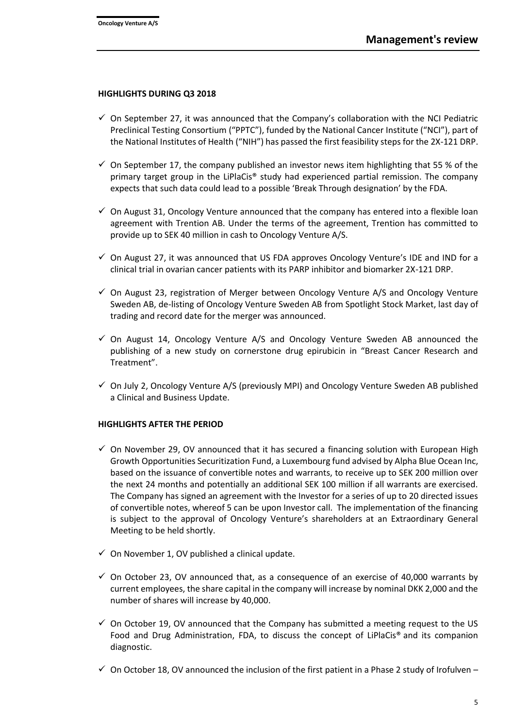#### **HIGHLIGHTS DURING Q3 2018**

- $\checkmark$  On September 27, it was announced that the Company's collaboration with the NCI Pediatric Preclinical Testing Consortium ("PPTC"), funded by the National Cancer Institute ("NCI"), part of the National Institutes of Health ("NIH") has passed the first feasibility steps for the 2X-121 DRP.
- $\checkmark$  On September 17, the company published an investor news item highlighting that 55 % of the primary target group in the LiPlaCis® study had experienced partial remission. The company expects that such data could lead to a possible 'Break Through designation' by the FDA.
- $\checkmark$  On August 31, Oncology Venture announced that the company has entered into a flexible loan agreement with Trention AB. Under the terms of the agreement, Trention has committed to provide up to SEK 40 million in cash to Oncology Venture A/S.
- $\checkmark$  On August 27, it was announced that US FDA approves Oncology Venture's IDE and IND for a clinical trial in ovarian cancer patients with its PARP inhibitor and biomarker 2X-121 DRP.
- $\checkmark$  On August 23, registration of Merger between Oncology Venture A/S and Oncology Venture Sweden AB, de-listing of Oncology Venture Sweden AB from Spotlight Stock Market, last day of trading and record date for the merger was announced.
- $\checkmark$  On August 14, Oncology Venture A/S and Oncology Venture Sweden AB announced the publishing of a new study on cornerstone drug epirubicin in "Breast Cancer Research and Treatment".
- $\checkmark$  On July 2, Oncology Venture A/S (previously MPI) and Oncology Venture Sweden AB published a Clinical and Business Update.

## **HIGHLIGHTS AFTER THE PERIOD**

- $\checkmark$  On November 29, OV announced that it has secured a financing solution with European High Growth Opportunities Securitization Fund, a Luxembourg fund advised by Alpha Blue Ocean Inc, based on the issuance of convertible notes and warrants, to receive up to SEK 200 million over the next 24 months and potentially an additional SEK 100 million if all warrants are exercised. The Company has signed an agreement with the Investor for a series of up to 20 directed issues of convertible notes, whereof 5 can be upon Investor call. The implementation of the financing is subject to the approval of Oncology Venture's shareholders at an Extraordinary General Meeting to be held shortly.
- $\checkmark$  On November 1, OV published a clinical update.
- $\checkmark$  On October 23, OV announced that, as a consequence of an exercise of 40,000 warrants by current employees, the share capital in the company will increase by nominal DKK 2,000 and the number of shares will increase by 40,000.
- $\checkmark$  On October 19, OV announced that the Company has submitted a meeting request to the US Food and Drug Administration, FDA, to discuss the concept of LiPlaCis® and its companion diagnostic.
- $\checkmark$  On October 18, OV announced the inclusion of the first patient in a Phase 2 study of Irofulven –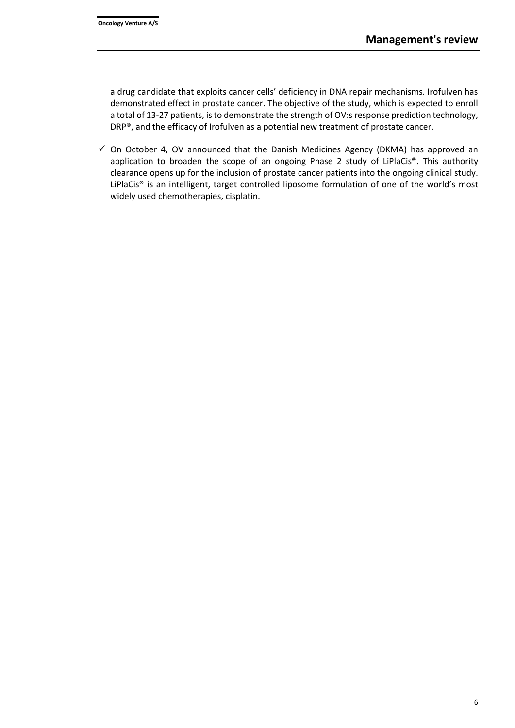a drug candidate that exploits cancer cells' deficiency in DNA repair mechanisms. Irofulven has demonstrated effect in prostate cancer. The objective of the study, which is expected to enroll a total of 13-27 patients, is to demonstrate the strength of OV:s response prediction technology, DRP®, and the efficacy of Irofulven as a potential new treatment of prostate cancer.

 $\checkmark$  On October 4, OV announced that the Danish Medicines Agency (DKMA) has approved an application to broaden the scope of an ongoing Phase 2 study of LiPlaCis®. This authority clearance opens up for the inclusion of prostate cancer patients into the ongoing clinical study. LiPlaCis® is an intelligent, target controlled liposome formulation of one of the world's most widely used chemotherapies, cisplatin.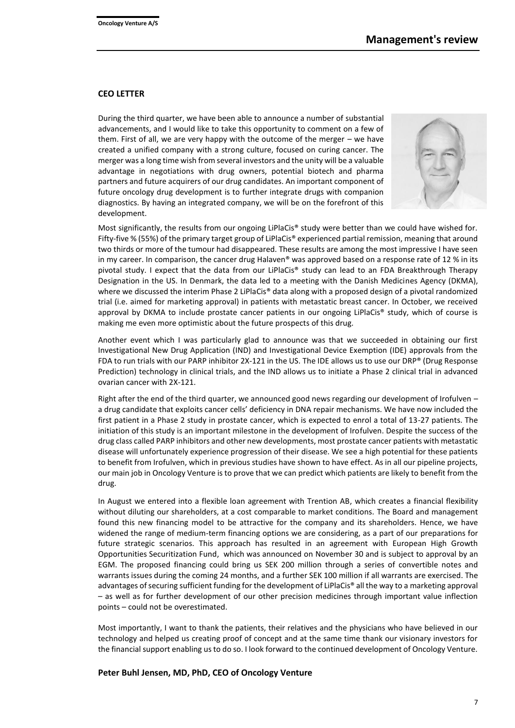#### **CEO LETTER**

During the third quarter, we have been able to announce a number of substantial advancements, and I would like to take this opportunity to comment on a few of them. First of all, we are very happy with the outcome of the merger – we have created a unified company with a strong culture, focused on curing cancer. The merger was a long time wish from several investors and the unity will be a valuable advantage in negotiations with drug owners, potential biotech and pharma partners and future acquirers of our drug candidates. An important component of future oncology drug development is to further integrate drugs with companion diagnostics. By having an integrated company, we will be on the forefront of this development.



Most significantly, the results from our ongoing LiPlaCis® study were better than we could have wished for. Fifty-five % (55%) of the primary target group of LiPlaCis® experienced partial remission, meaning that around two thirds or more of the tumour had disappeared. These results are among the most impressive I have seen in my career. In comparison, the cancer drug Halaven® was approved based on a response rate of 12 % in its pivotal study. I expect that the data from our LiPlaCis® study can lead to an FDA Breakthrough Therapy Designation in the US. In Denmark, the data led to a meeting with the Danish Medicines Agency (DKMA), where we discussed the interim Phase 2 LiPlaCis® data along with a proposed design of a pivotal randomized trial (i.e. aimed for marketing approval) in patients with metastatic breast cancer. In October, we received approval by DKMA to include prostate cancer patients in our ongoing LiPlaCis® study, which of course is making me even more optimistic about the future prospects of this drug.

Another event which I was particularly glad to announce was that we succeeded in obtaining our first Investigational New Drug Application (IND) and Investigational Device Exemption (IDE) approvals from the FDA to run trials with our PARP inhibitor 2X-121 in the US. The IDE allows us to use our DRP® (Drug Response Prediction) technology in clinical trials, and the IND allows us to initiate a Phase 2 clinical trial in advanced ovarian cancer with 2X-121.

Right after the end of the third quarter, we announced good news regarding our development of Irofulven – a drug candidate that exploits cancer cells' deficiency in DNA repair mechanisms. We have now included the first patient in a Phase 2 study in prostate cancer, which is expected to enrol a total of 13-27 patients. The initiation of this study is an important milestone in the development of Irofulven. Despite the success of the drug class called PARP inhibitors and other new developments, most prostate cancer patients with metastatic disease will unfortunately experience progression of their disease. We see a high potential for these patients to benefit from Irofulven, which in previous studies have shown to have effect. As in all our pipeline projects, our main job in Oncology Venture is to prove that we can predict which patients are likely to benefit from the drug.

In August we entered into a flexible loan agreement with Trention AB, which creates a financial flexibility without diluting our shareholders, at a cost comparable to market conditions. The Board and management found this new financing model to be attractive for the company and its shareholders. Hence, we have widened the range of medium-term financing options we are considering, as a part of our preparations for future strategic scenarios. This approach has resulted in an agreement with European High Growth Opportunities Securitization Fund, which was announced on November 30 and is subject to approval by an EGM. The proposed financing could bring us SEK 200 million through a series of convertible notes and warrants issues during the coming 24 months, and a further SEK 100 million if all warrants are exercised. The advantages of securing sufficient funding for the development of LiPlaCis® all the way to a marketing approval – as well as for further development of our other precision medicines through important value inflection points – could not be overestimated.

Most importantly, I want to thank the patients, their relatives and the physicians who have believed in our technology and helped us creating proof of concept and at the same time thank our visionary investors for the financial support enabling us to do so. I look forward to the continued development of Oncology Venture.

#### **Peter Buhl Jensen, MD, PhD, CEO of Oncology Venture**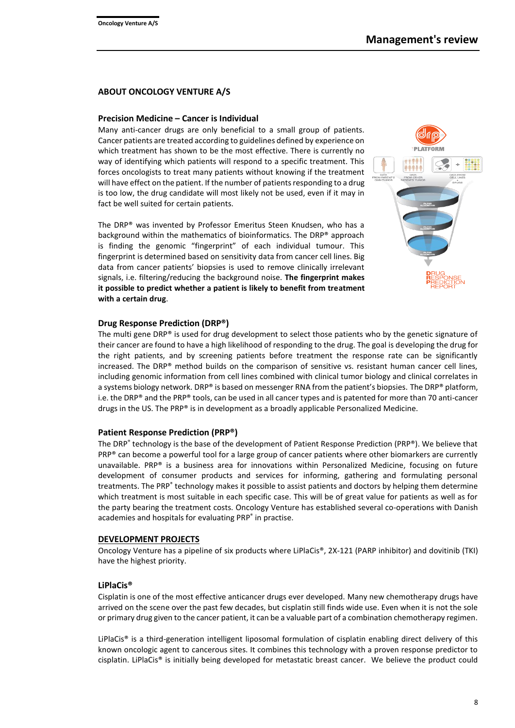#### **ABOUT ONCOLOGY VENTURE A/S**

#### **Precision Medicine – Cancer is Individual**

Many anti-cancer drugs are only beneficial to a small group of patients. Cancer patients are treated according to guidelines defined by experience on which treatment has shown to be the most effective. There is currently no way of identifying which patients will respond to a specific treatment. This forces oncologists to treat many patients without knowing if the treatment will have effect on the patient. If the number of patients responding to a drug is too low, the drug candidate will most likely not be used, even if it may in fact be well suited for certain patients.

The DRP® was invented by Professor Emeritus Steen Knudsen, who has a background within the mathematics of bioinformatics. The DRP® approach is finding the genomic "fingerprint" of each individual tumour. This fingerprint is determined based on sensitivity data from cancer cell lines. Big data from cancer patients' biopsies is used to remove clinically irrelevant signals, i.e. filtering/reducing the background noise. **The fingerprint makes it possible to predict whether a patient is likely to benefit from treatment with a certain drug**.



#### **Drug Response Prediction (DRP®)**

The multi gene DRP® is used for drug development to select those patients who by the genetic signature of their cancer are found to have a high likelihood of responding to the drug. The goal is developing the drug for the right patients, and by screening patients before treatment the response rate can be significantly increased. The DRP® method builds on the comparison of sensitive vs. resistant human cancer cell lines, including genomic information from cell lines combined with clinical tumor biology and clinical correlates in a systems biology network. DRP® is based on messenger RNA from the patient's biopsies. The DRP® platform, i.e. the DRP® and the PRP® tools, can be used in all cancer types and is patented for more than 70 anti-cancer drugs in the US. The PRP® is in development as a broadly applicable Personalized Medicine.

#### **Patient Response Prediction (PRP®)**

The DRP® technology is the base of the development of Patient Response Prediction (PRP®). We believe that PRP® can become a powerful tool for a large group of cancer patients where other biomarkers are currently unavailable. PRP® is a business area for innovations within Personalized Medicine, focusing on future development of consumer products and services for informing, gathering and formulating personal treatments. The PRP® technology makes it possible to assist patients and doctors by helping them determine which treatment is most suitable in each specific case. This will be of great value for patients as well as for the party bearing the treatment costs. Oncology Venture has established several co-operations with Danish academies and hospitals for evaluating PRP ® in practise.

#### **DEVELOPMENT PROJECTS**

Oncology Venture has a pipeline of six products where LiPlaCis®, 2X-121 (PARP inhibitor) and dovitinib (TKI) have the highest priority.

#### **LiPlaCis®**

Cisplatin is one of the most effective anticancer drugs ever developed. Many new chemotherapy drugs have arrived on the scene over the past few decades, but cisplatin still finds wide use. Even when it is not the sole or primary drug given to the cancer patient, it can be a valuable part of a combination chemotherapy regimen.

LiPlaCis® is a third-generation intelligent liposomal formulation of cisplatin enabling direct delivery of this known oncologic agent to cancerous sites. It combines this technology with a proven response predictor to cisplatin. LiPlaCis® is initially being developed for metastatic breast cancer. We believe the product could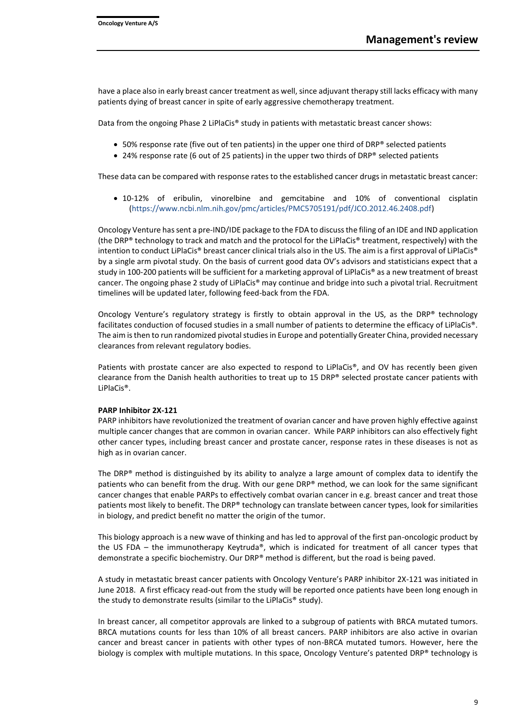have a place also in early breast cancer treatment as well, since adjuvant therapy still lacks efficacy with many patients dying of breast cancer in spite of early aggressive chemotherapy treatment.

Data from the ongoing Phase 2 LiPlaCis® study in patients with metastatic breast cancer shows:

- 50% response rate (five out of ten patients) in the upper one third of DRP® selected patients
- 24% response rate (6 out of 25 patients) in the upper two thirds of DRP® selected patients

These data can be compared with response rates to the established cancer drugs in metastatic breast cancer:

• 10-12% of eribulin, vinorelbine and gemcitabine and 10% of conventional cisplatin [\(https://www.ncbi.nlm.nih.gov/pmc/articles/PMC5705191/pdf/JCO.2012.46.2408.pdf\)](https://www.ncbi.nlm.nih.gov/pmc/articles/PMC5705191/pdf/JCO.2012.46.2408.pdf)

Oncology Venture has sent a pre-IND/IDE package to the FDA to discuss the filing of an IDE and IND application (the DRP® technology to track and match and the protocol for the LiPlaCis® treatment, respectively) with the intention to conduct LiPlaCis® breast cancer clinical trials also in the US. The aim is a first approval of LiPlaCis® by a single arm pivotal study. On the basis of current good data OV's advisors and statisticians expect that a study in 100-200 patients will be sufficient for a marketing approval of LiPlaCis® as a new treatment of breast cancer. The ongoing phase 2 study of LiPlaCis® may continue and bridge into such a pivotal trial. Recruitment timelines will be updated later, following feed-back from the FDA.

Oncology Venture's regulatory strategy is firstly to obtain approval in the US, as the DRP® technology facilitates conduction of focused studies in a small number of patients to determine the efficacy of LiPlaCis®. The aim is then to run randomized pivotal studies in Europe and potentially Greater China, provided necessary clearances from relevant regulatory bodies.

Patients with prostate cancer are also expected to respond to LiPlaCis®, and OV has recently been given clearance from the Danish health authorities to treat up to 15 DRP® selected prostate cancer patients with LiPlaCis®.

#### **PARP Inhibitor 2X-121**

PARP inhibitors have revolutionized the treatment of ovarian cancer and have proven highly effective against multiple cancer changes that are common in ovarian cancer. While PARP inhibitors can also effectively fight other cancer types, including breast cancer and prostate cancer, response rates in these diseases is not as high as in ovarian cancer.

The DRP® method is distinguished by its ability to analyze a large amount of complex data to identify the patients who can benefit from the drug. With our gene DRP® method, we can look for the same significant cancer changes that enable PARPs to effectively combat ovarian cancer in e.g. breast cancer and treat those patients most likely to benefit. The DRP® technology can translate between cancer types, look for similarities in biology, and predict benefit no matter the origin of the tumor.

This biology approach is a new wave of thinking and has led to approval of the first pan-oncologic product by the US FDA – the immunotherapy Keytruda®, which is indicated for treatment of all cancer types that demonstrate a specific biochemistry. Our DRP® method is different, but the road is being paved.

A study in metastatic breast cancer patients with Oncology Venture's PARP inhibitor 2X-121 was initiated in June 2018. A first efficacy read-out from the study will be reported once patients have been long enough in the study to demonstrate results (similar to the LiPlaCis® study).

In breast cancer, all competitor approvals are linked to a subgroup of patients with BRCA mutated tumors. BRCA mutations counts for less than 10% of all breast cancers. PARP inhibitors are also active in ovarian cancer and breast cancer in patients with other types of non-BRCA mutated tumors. However, here the biology is complex with multiple mutations. In this space, Oncology Venture's patented DRP® technology is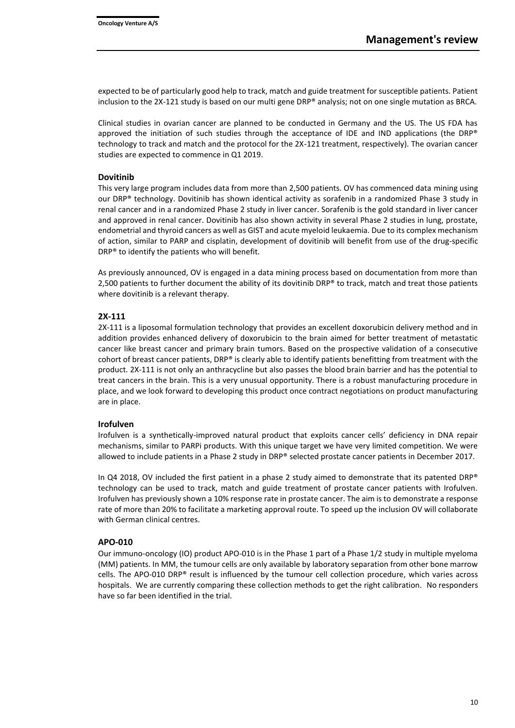expected to be of particularly good help to track, match and guide treatment for susceptible patients. Patient inclusion to the 2X-121 study is based on our multi gene DRP® analysis; not on one single mutation as BRCA.

Clinical studies in ovarian cancer are planned to be conducted in Germany and the US. The US FDA has approved the initiation of such studies through the acceptance of IDE and IND applications (the DRP® technology to track and match and the protocol for the 2X-121 treatment, respectively). The ovarian cancer studies are expected to commence in Q1 2019.

#### **Dovitinib**

This very large program includes data from more than 2,500 patients. OV has commenced data mining using our DRP® technology. Dovitinib has shown identical activity as sorafenib in a randomized Phase 3 study in renal cancer and in a randomized Phase 2 study in liver cancer. Sorafenib is the gold standard in liver cancer and approved in renal cancer. Dovitinib has also shown activity in several Phase 2 studies in lung, prostate, endometrial and thyroid cancers as well as GIST and acute myeloid leukaemia. Due to its complex mechanism of action, similar to PARP and cisplatin, development of dovitinib will benefit from use of the drug-specific DRP® to identify the patients who will benefit.

As previously announced, OV is engaged in a data mining process based on documentation from more than 2,500 patients to further document the ability of its dovitinib DRP® to track, match and treat those patients where dovitinib is a relevant therapy.

#### **2X-111**

2X-111 is a liposomal formulation technology that provides an excellent doxorubicin delivery method and in addition provides enhanced delivery of doxorubicin to the brain aimed for better treatment of metastatic cancer like breast cancer and primary brain tumors. Based on the prospective validation of a consecutive cohort of breast cancer patients, DRP® is clearly able to identify patients benefitting from treatment with the product. 2X-111 is not only an anthracycline but also passes the blood brain barrier and has the potential to treat cancers in the brain. This is a very unusual opportunity. There is a robust manufacturing procedure in place, and we look forward to developing this product once contract negotiations on product manufacturing are in place.

#### **Irofulven**

Irofulven is a synthetically-improved natural product that exploits cancer cells' deficiency in DNA repair mechanisms, similar to PARPi products. With this unique target we have very limited competition. We were allowed to include patients in a Phase 2 study in DRP® selected prostate cancer patients in December 2017.

In Q4 2018, OV included the first patient in a phase 2 study aimed to demonstrate that its patented DRP® technology can be used to track, match and guide treatment of prostate cancer patients with Irofulven. Irofulven has previously shown a 10% response rate in prostate cancer. The aim is to demonstrate a response rate of more than 20% to facilitate a marketing approval route. To speed up the inclusion OV will collaborate with German clinical centres.

#### **APO-010**

Our immuno-oncology (IO) product APO-010 is in the Phase 1 part of a Phase 1/2 study in multiple myeloma (MM) patients. In MM, the tumour cells are only available by laboratory separation from other bone marrow cells. The APO-010 DRP® result is influenced by the tumour cell collection procedure, which varies across hospitals. We are currently comparing these collection methods to get the right calibration. No responders have so far been identified in the trial.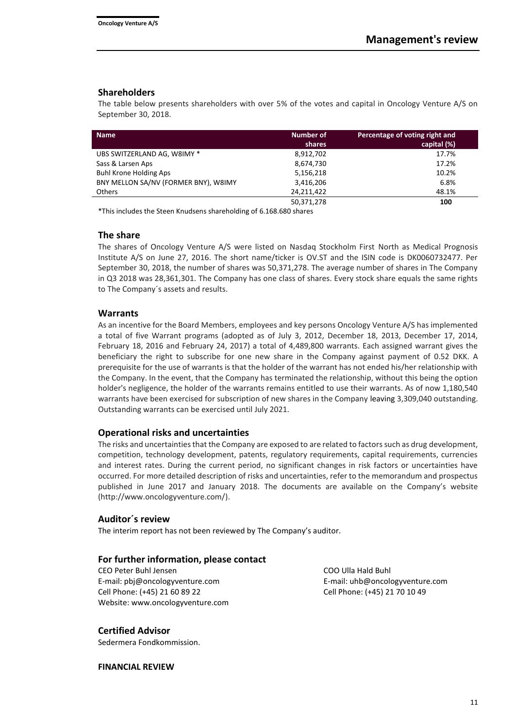#### **Shareholders**

The table below presents shareholders with over 5% of the votes and capital in Oncology Venture A/S on September 30, 2018.

| <b>Name</b>                          | Number of  | Percentage of voting right and |
|--------------------------------------|------------|--------------------------------|
|                                      | shares     | capital (%)                    |
| UBS SWITZERLAND AG, W8IMY *          | 8,912,702  | 17.7%                          |
| Sass & Larsen Aps                    | 8,674,730  | 17.2%                          |
| <b>Buhl Krone Holding Aps</b>        | 5,156,218  | 10.2%                          |
| BNY MELLON SA/NV (FORMER BNY), W8IMY | 3,416,206  | 6.8%                           |
| <b>Others</b>                        | 24,211,422 | 48.1%                          |
|                                      | 50,371,278 | 100                            |

\*This includes the Steen Knudsens shareholding of 6.168.680 shares

#### **The share**

The shares of Oncology Venture A/S were listed on Nasdaq Stockholm First North as Medical Prognosis Institute A/S on June 27, 2016. The short name/ticker is OV.ST and the ISIN code is DK0060732477. Per September 30, 2018, the number of shares was 50,371,278. The average number of shares in The Company in Q3 2018 was 28,361,301. The Company has one class of shares. Every stock share equals the same rights to The Company´s assets and results.

#### **Warrants**

As an incentive for the Board Members, employees and key persons Oncology Venture A/S has implemented a total of five Warrant programs (adopted as of July 3, 2012, December 18, 2013, December 17, 2014, February 18, 2016 and February 24, 2017) a total of 4,489,800 warrants. Each assigned warrant gives the beneficiary the right to subscribe for one new share in the Company against payment of 0.52 DKK. A prerequisite for the use of warrants is that the holder of the warrant has not ended his/her relationship with the Company. In the event, that the Company has terminated the relationship, without this being the option holder's negligence, the holder of the warrants remains entitled to use their warrants. As of now 1,180,540 warrants have been exercised for subscription of new shares in the Company leaving 3,309,040 outstanding. Outstanding warrants can be exercised until July 2021.

## **Operational risks and uncertainties**

The risks and uncertainties that the Company are exposed to are related to factors such as drug development, competition, technology development, patents, regulatory requirements, capital requirements, currencies and interest rates. During the current period, no significant changes in risk factors or uncertainties have occurred. For more detailed description of risks and uncertainties, refer to the memorandum and prospectus published in June 2017 and January 2018. The documents are available on the Company's website [\(http://www.oncologyventure.com/\)](http://www.oncologyventure.com/).

#### **Auditor´s review**

The interim report has not been reviewed by The Company's auditor.

## **For further information, please contact**

CEO Peter Buhl Jensen COO Ulla Hald Buhl E-mail: pbj@oncologyventure.com E-mail: uhb@oncologyventure.com Cell Phone: (+45) 21 60 89 22 Cell Phone: (+45) 21 70 10 49 Website: www.oncologyventure.com

## **Certified Advisor**

Sedermera Fondkommission.

**FINANCIAL REVIEW**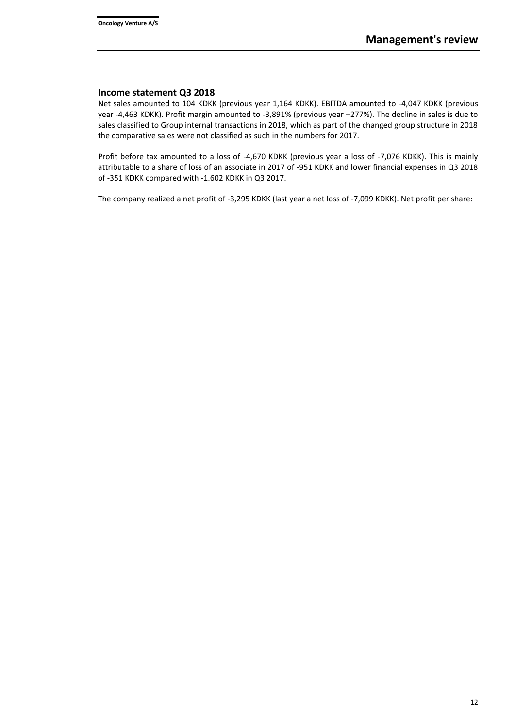## **Income statement Q3 2018**

Net sales amounted to 104 KDKK (previous year 1,164 KDKK). EBITDA amounted to -4,047 KDKK (previous year -4,463 KDKK). Profit margin amounted to -3,891% (previous year –277%). The decline in sales is due to sales classified to Group internal transactions in 2018, which as part of the changed group structure in 2018 the comparative sales were not classified as such in the numbers for 2017.

Profit before tax amounted to a loss of -4,670 KDKK (previous year a loss of -7,076 KDKK). This is mainly attributable to a share of loss of an associate in 2017 of -951 KDKK and lower financial expenses in Q3 2018 of -351 KDKK compared with -1.602 KDKK in Q3 2017.

The company realized a net profit of -3,295 KDKK (last year a net loss of -7,099 KDKK). Net profit per share: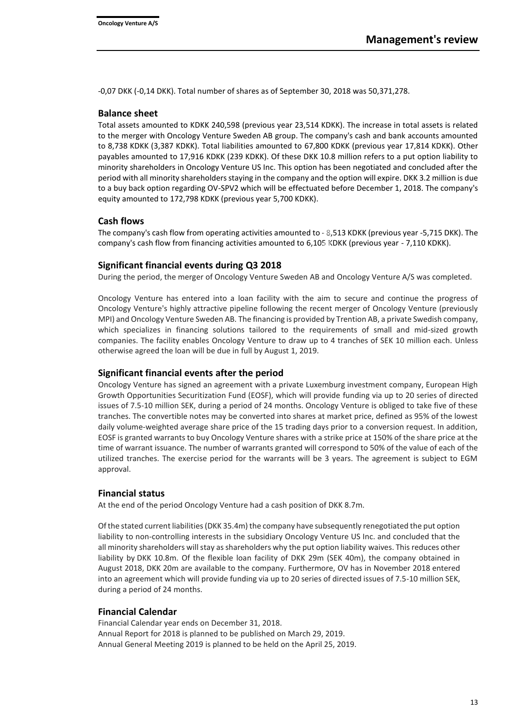-0,07 DKK (-0,14 DKK). Total number of shares as of September 30, 2018 was 50,371,278.

#### **Balance sheet**

Total assets amounted to KDKK 240,598 (previous year 23,514 KDKK). The increase in total assets is related to the merger with Oncology Venture Sweden AB group. The company's cash and bank accounts amounted to 8,738 KDKK (3,387 KDKK). Total liabilities amounted to 67,800 KDKK (previous year 17,814 KDKK). Other payables amounted to 17,916 KDKK (239 KDKK). Of these DKK 10.8 million refers to a put option liability to minority shareholders in Oncology Venture US Inc. This option has been negotiated and concluded after the period with all minority shareholders staying in the company and the option will expire. DKK 3.2 million is due to a buy back option regarding OV-SPV2 which will be effectuated before December 1, 2018. The company's equity amounted to 172,798 KDKK (previous year 5,700 KDKK).

## **Cash flows**

The company's cash flow from operating activities amounted to - 8,513 KDKK (previous year -5,715 DKK). The company's cash flow from financing activities amounted to 6,105 KDKK (previous year - 7,110 KDKK).

## **Significant financial events during Q3 2018**

During the period, the merger of Oncology Venture Sweden AB and Oncology Venture A/S was completed.

Oncology Venture has entered into a loan facility with the aim to secure and continue the progress of Oncology Venture's highly attractive pipeline following the recent merger of Oncology Venture (previously MPI) and Oncology Venture Sweden AB. The financing is provided by Trention AB, a private Swedish company, which specializes in financing solutions tailored to the requirements of small and mid-sized growth companies. The facility enables Oncology Venture to draw up to 4 tranches of SEK 10 million each. Unless otherwise agreed the loan will be due in full by August 1, 2019.

## **Significant financial events after the period**

Oncology Venture has signed an agreement with a private Luxemburg investment company, European High Growth Opportunities Securitization Fund (EOSF), which will provide funding via up to 20 series of directed issues of 7.5-10 million SEK, during a period of 24 months. Oncology Venture is obliged to take five of these tranches. The convertible notes may be converted into shares at market price, defined as 95% of the lowest daily volume-weighted average share price of the 15 trading days prior to a conversion request. In addition, EOSF is granted warrants to buy Oncology Venture shares with a strike price at 150% of the share price at the time of warrant issuance. The number of warrants granted will correspond to 50% of the value of each of the utilized tranches. The exercise period for the warrants will be 3 years. The agreement is subject to EGM approval.

## **Financial status**

At the end of the period Oncology Venture had a cash position of DKK 8.7m.

Of the stated current liabilities (DKK 35.4m) the company have subsequently renegotiated the put option liability to non-controlling interests in the subsidiary Oncology Venture US Inc. and concluded that the all minority shareholders will stay as shareholders why the put option liability waives. This reduces other liability by DKK 10.8m. Of the flexible loan facility of DKK 29m (SEK 40m), the company obtained in August 2018, DKK 20m are available to the company. Furthermore, OV has in November 2018 entered into an agreement which will provide funding via up to 20 series of directed issues of 7.5-10 million SEK, during a period of 24 months.

## **Financial Calendar**

Financial Calendar year ends on December 31, 2018. Annual Report for 2018 is planned to be published on March 29, 2019. Annual General Meeting 2019 is planned to be held on the April 25, 2019.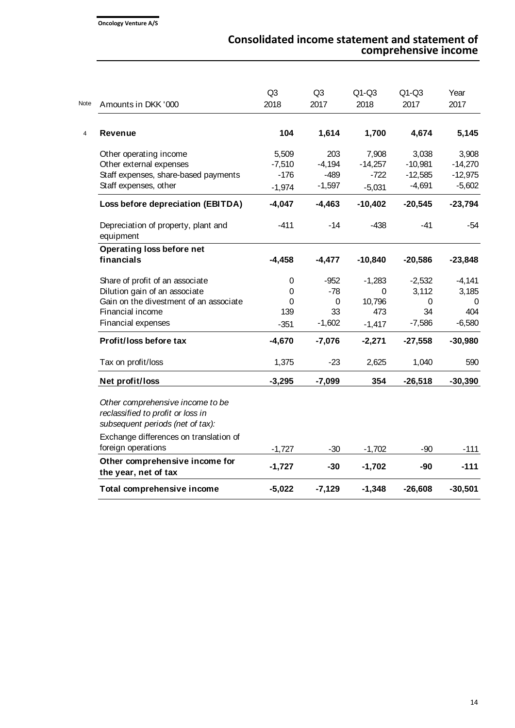| Note<br>Amounts in DKK '000 |                                                                                                           | Q <sub>3</sub><br>2018 | Q <sub>3</sub><br>2017 | $Q1-Q3$<br>2018 | $Q1-Q3$<br>2017 | Year<br>2017 |
|-----------------------------|-----------------------------------------------------------------------------------------------------------|------------------------|------------------------|-----------------|-----------------|--------------|
| Revenue                     |                                                                                                           | 104                    | 1,614                  | 1,700           | 4,674           | 5,145        |
|                             | Other operating income                                                                                    | 5,509                  | 203                    | 7,908           | 3,038           | 3,908        |
|                             | Other external expenses                                                                                   | $-7,510$               | $-4,194$               | $-14,257$       | $-10,981$       | $-14,270$    |
|                             | Staff expenses, share-based payments                                                                      | $-176$                 | $-489$                 | $-722$          | $-12,585$       | $-12,975$    |
| Staff expenses, other       |                                                                                                           | $-1,974$               | $-1,597$               | $-5,031$        | $-4,691$        | $-5,602$     |
|                             | Loss before depreciation (EBITDA)                                                                         | $-4,047$               | $-4,463$               | $-10,402$       | $-20,545$       | $-23,794$    |
| equipment                   | Depreciation of property, plant and                                                                       | $-411$                 | $-14$                  | $-438$          | $-41$           | $-54$        |
| financials                  | Operating loss before net                                                                                 | $-4,458$               | $-4,477$               | $-10,840$       | $-20,586$       | $-23,848$    |
|                             | Share of profit of an associate                                                                           | 0                      | $-952$                 | $-1,283$        | $-2,532$        | $-4,141$     |
|                             | Dilution gain of an associate                                                                             | 0                      | $-78$                  | 0               | 3,112           | 3,185        |
|                             | Gain on the divestment of an associate                                                                    | 0                      | 0                      | 10,796          | 0               | 0            |
| Financial income            |                                                                                                           | 139                    | 33                     | 473             | 34              | 404          |
| Financial expenses          |                                                                                                           | $-351$                 | $-1,602$               | $-1,417$        | $-7,586$        | $-6,580$     |
|                             | Profit/loss before tax                                                                                    | $-4,670$               | $-7,076$               | $-2,271$        | $-27,558$       | $-30,980$    |
| Tax on profit/loss          |                                                                                                           | 1,375                  | $-23$                  | 2,625           | 1,040           | 590          |
| Net profit/loss             |                                                                                                           | $-3,295$               | $-7,099$               | 354             | $-26,518$       | $-30,390$    |
|                             | Other comprehensive income to be<br>reclassified to profit or loss in<br>subsequent periods (net of tax): |                        |                        |                 |                 |              |
|                             | Exchange differences on translation of                                                                    |                        |                        |                 |                 |              |
| foreign operations          |                                                                                                           | $-1,727$               | $-30$                  | $-1,702$        | $-90$           | $-111$       |
| the year, net of tax        | Other comprehensive income for                                                                            | $-1,727$               | $-30$                  | $-1,702$        | -90             | $-111$       |
|                             | Total comprehensive income                                                                                | $-5,022$               | $-7,129$               | $-1,348$        | $-26,608$       | $-30,501$    |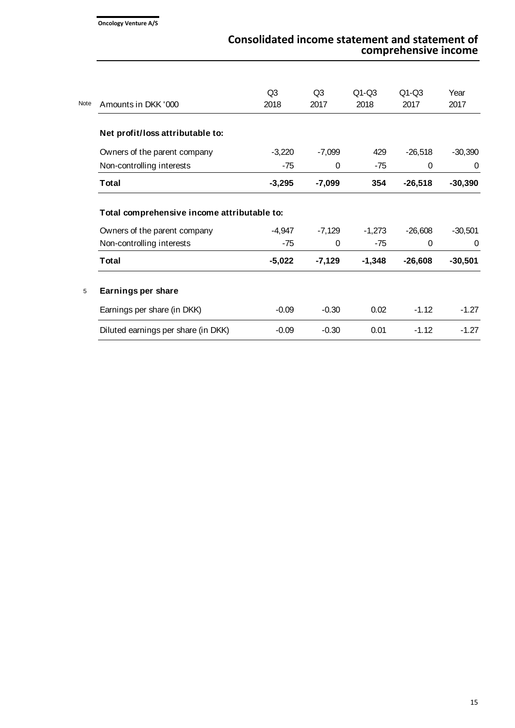| <b>Note</b> | Amounts in DKK '000                                                                                      | Q3<br>2018        | Q <sub>3</sub><br>2017 | $Q1-Q3$<br>2018   | $Q1-Q3$<br>2017       | Year<br>2017          |
|-------------|----------------------------------------------------------------------------------------------------------|-------------------|------------------------|-------------------|-----------------------|-----------------------|
|             | Net profit/loss attributable to:                                                                         |                   |                        |                   |                       |                       |
|             | Owners of the parent company                                                                             | $-3,220$          | $-7,099$               | 429               | $-26,518$             | $-30,390$             |
|             | Non-controlling interests                                                                                | $-75$             | 0                      | $-75$             | $\Omega$              | 0                     |
|             | Total                                                                                                    | $-3,295$          | $-7,099$               | 354               | $-26,518$             | $-30,390$             |
|             | Total comprehensive income attributable to:<br>Owners of the parent company<br>Non-controlling interests | $-4,947$<br>$-75$ | $-7,129$<br>$\Omega$   | $-1,273$<br>$-75$ | $-26,608$<br>$\Omega$ | $-30,501$<br>$\Omega$ |
|             | Total                                                                                                    | $-5,022$          | $-7,129$               | $-1,348$          | $-26,608$             | $-30,501$             |
| 5           | Earnings per share                                                                                       |                   |                        |                   |                       |                       |
|             | Earnings per share (in DKK)                                                                              | $-0.09$           | $-0.30$                | 0.02              | $-1.12$               | $-1.27$               |
|             | Diluted earnings per share (in DKK)                                                                      | $-0.09$           | $-0.30$                | 0.01              | $-1.12$               | $-1.27$               |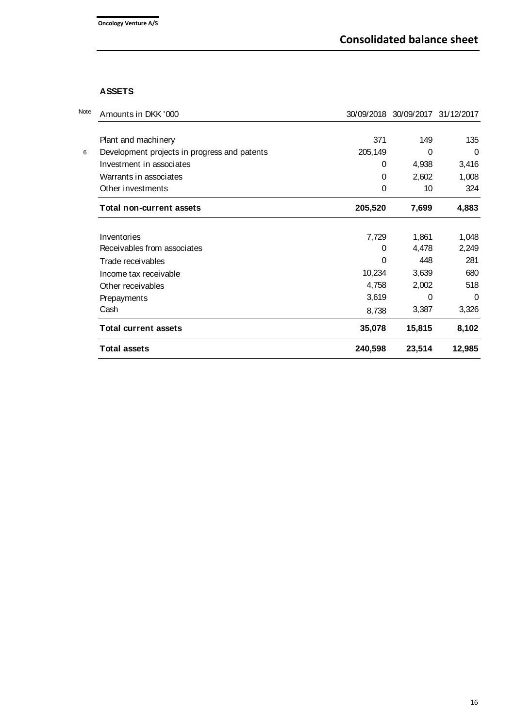## **ASSETS**

| <b>Total assets</b>                          | 240,598  | 23,514                           | 12,985   |
|----------------------------------------------|----------|----------------------------------|----------|
| <b>Total current assets</b>                  | 35,078   | 15,815                           | 8,102    |
| Cash                                         | 8,738    | 3,387                            | 3,326    |
| Prepayments                                  | 3,619    | $\Omega$                         | $\Omega$ |
| Other receivables                            | 4,758    | 2,002                            | 518      |
| Income tax receivable                        | 10,234   | 3,639                            | 680      |
| Trade receivables                            | 0        | 448                              | 281      |
| Receivables from associates                  | $\Omega$ | 4,478                            | 2,249    |
| Inventories                                  | 7,729    | 1,861                            | 1,048    |
| <b>Total non-current assets</b>              | 205,520  | 7,699                            | 4,883    |
| Other investments                            | $\Omega$ | 10                               | 324      |
| Warrants in associates                       | 0        | 2,602                            | 1,008    |
| Investment in associates                     | $\Omega$ | 4,938                            | 3,416    |
| Development projects in progress and patents | 205,149  | 0                                | $\Omega$ |
| Plant and machinery                          | 371      | 149                              | 135      |
|                                              |          |                                  |          |
| Amounts in DKK '000                          |          | 30/09/2018 30/09/2017 31/12/2017 |          |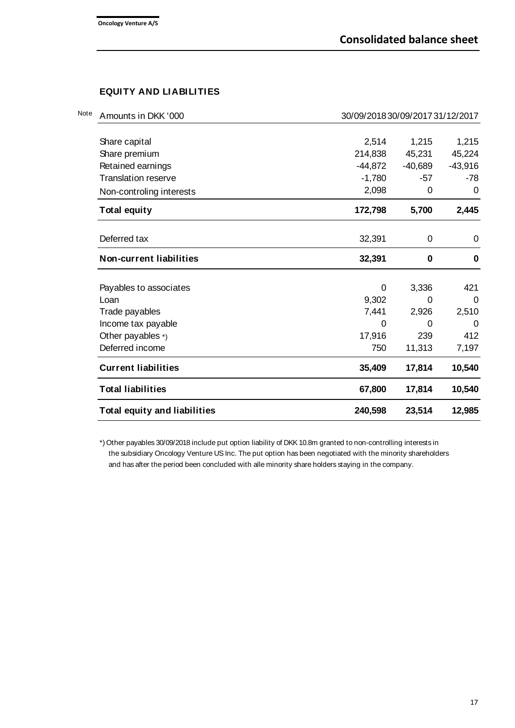# **EQUITY AND LIABILITIES**

| <b>Total equity and liabilities</b>                     | 240,598     | 23,514    | 12,985      |
|---------------------------------------------------------|-------------|-----------|-------------|
| <b>Total liabilities</b>                                | 67,800      | 17,814    | 10,540      |
| <b>Current liabilities</b>                              | 35,409      | 17,814    | 10,540      |
| Deferred income                                         | 750         | 11,313    | 7,197       |
| Other payables $*$ )                                    | 17,916      | 239       | 412         |
| Income tax payable                                      | $\mathbf 0$ | 0         | 0           |
| Trade payables                                          | 7,441       | 2,926     | 2,510       |
| Loan                                                    | 9,302       | 0         | $\Omega$    |
| Payables to associates                                  | 0           | 3,336     | 421         |
| Non-current liabilities                                 | 32,391      | $\bf{0}$  | $\mathbf 0$ |
| Deferred tax                                            | 32,391      | 0         | $\mathbf 0$ |
| <b>Total equity</b>                                     | 172,798     | 5,700     | 2,445       |
| Non-controling interests                                | 2,098       | 0         | 0           |
| <b>Translation reserve</b>                              | $-1,780$    | -57       | -78         |
| Retained earnings                                       | $-44,872$   | $-40,689$ | $-43,916$   |
| Share premium                                           | 214,838     | 45,231    | 45,224      |
| Share capital                                           | 2,514       | 1,215     | 1,215       |
| Amounts in DKK '000<br>30/09/2018 30/09/2017 31/12/2017 |             |           |             |

\*) Other payables 30/09/2018 include put option liability of DKK 10.8m granted to non-controlling interests in the subsidiary Oncology Venture US Inc. The put option has been negotiated with the minority shareholders and has after the period been concluded with alle minority share holders staying in the company.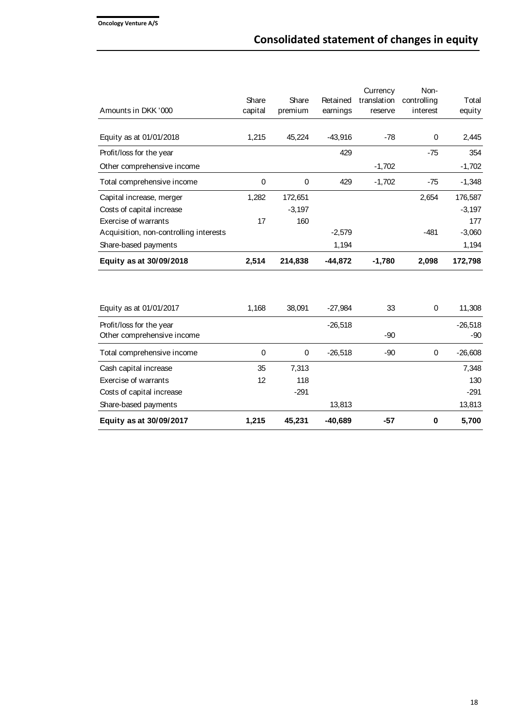|                                        | Share   | Share    | Retained  | Currency<br>translation | Non-<br>controlling | Total     |
|----------------------------------------|---------|----------|-----------|-------------------------|---------------------|-----------|
| Amounts in DKK '000                    | capital | premium  | earnings  | reserve                 | interest            | equity    |
|                                        |         |          |           |                         |                     |           |
| Equity as at 01/01/2018                | 1,215   | 45,224   | $-43,916$ | $-78$                   | 0                   | 2,445     |
| Profit/loss for the year               |         |          | 429       |                         | $-75$               | 354       |
| Other comprehensive income             |         |          |           | $-1,702$                |                     | $-1,702$  |
| Total comprehensive income             | 0       | 0        | 429       | $-1,702$                | $-75$               | $-1,348$  |
| Capital increase, merger               | 1,282   | 172,651  |           |                         | 2,654               | 176,587   |
| Costs of capital increase              |         | $-3,197$ |           |                         |                     | $-3,197$  |
| Exercise of warrants                   | 17      | 160      |           |                         |                     | 177       |
| Acquisition, non-controlling interests |         |          | $-2,579$  |                         | $-481$              | $-3,060$  |
| Share-based payments                   |         |          | 1,194     |                         |                     | 1,194     |
| Equity as at 30/09/2018                | 2,514   | 214,838  | $-44,872$ | $-1,780$                | 2,098               | 172,798   |
|                                        |         |          |           |                         |                     |           |
| Equity as at 01/01/2017                | 1,168   | 38,091   | $-27,984$ | 33                      | 0                   | 11,308    |
| Profit/loss for the year               |         |          | $-26,518$ |                         |                     | $-26,518$ |
| Other comprehensive income             |         |          |           | $-90$                   |                     | $-90$     |
| Total comprehensive income             | 0       | 0        | $-26,518$ | $-90$                   | 0                   | $-26,608$ |
| Cash capital increase                  | 35      | 7,313    |           |                         |                     | 7,348     |
| <b>Exercise of warrants</b>            | 12      | 118      |           |                         |                     | 130       |
| Costs of capital increase              |         | $-291$   |           |                         |                     | $-291$    |
| Share-based payments                   |         |          | 13,813    |                         |                     | 13,813    |
| Equity as at 30/09/2017                | 1,215   | 45,231   | $-40,689$ | $-57$                   | $\bf{0}$            | 5,700     |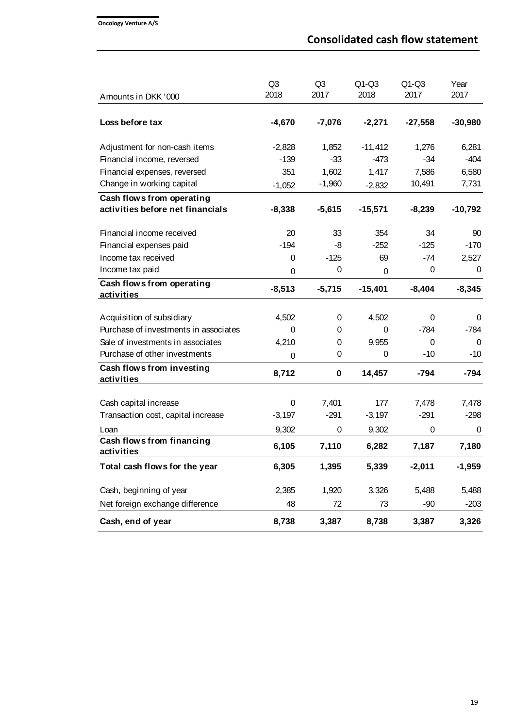| Amounts in DKK '000                                           | Q <sub>3</sub><br>2018 | Q <sub>3</sub><br>2017 | $Q1-Q3$<br>2018 | $Q1-Q3$<br>2017 | Year<br>2017 |
|---------------------------------------------------------------|------------------------|------------------------|-----------------|-----------------|--------------|
|                                                               |                        |                        |                 |                 |              |
| Loss before tax                                               | $-4,670$               | $-7,076$               | $-2,271$        | $-27,558$       | $-30,980$    |
| Adjustment for non-cash items                                 | $-2,828$               | 1,852                  | $-11,412$       | 1,276           | 6,281        |
| Financial income, reversed                                    | $-139$                 | $-33$                  | $-473$          | $-34$           | $-404$       |
| Financial expenses, reversed                                  | 351                    | 1,602                  | 1,417           | 7,586           | 6,580        |
| Change in working capital                                     | $-1,052$               | $-1,960$               | $-2,832$        | 10,491          | 7,731        |
| Cash flows from operating<br>activities before net financials | $-8,338$               | $-5,615$               | $-15,571$       | $-8,239$        | $-10,792$    |
| Financial income received                                     | 20                     | 33                     | 354             | 34              | 90           |
| Financial expenses paid                                       | $-194$                 | -8                     | $-252$          | $-125$          | $-170$       |
| Income tax received                                           | 0                      | $-125$                 | 69              | $-74$           | 2,527        |
| Income tax paid                                               | 0                      | 0                      | 0               | 0               | 0            |
| Cash flows from operating<br>activities                       | $-8,513$               | $-5,715$               | $-15,401$       | $-8,404$        | $-8,345$     |
| Acquisition of subsidiary                                     | 4,502                  | 0                      | 4,502           | 0               | 0            |
| Purchase of investments in associates                         | 0                      | 0                      | 0               | $-784$          | $-784$       |
| Sale of investments in associates                             | 4,210                  | 0                      | 9,955           | 0               | 0            |
| Purchase of other investments                                 | 0                      | 0                      | 0               | -10             | $-10$        |
| Cash flows from investing<br>activities                       | 8,712                  | 0                      | 14,457          | $-794$          | $-794$       |
| Cash capital increase                                         | 0                      | 7,401                  | 177             | 7,478           | 7,478        |
| Transaction cost, capital increase                            | $-3,197$               | $-291$                 | $-3,197$        | $-291$          | $-298$       |
| Loan                                                          | 9,302                  | 0                      | 9,302           | 0               | 0            |
| Cash flows from financing<br>activities                       | 6,105                  | 7,110                  | 6,282           | 7,187           | 7,180        |
| Total cash flows for the year                                 | 6,305                  | 1,395                  | 5,339           | $-2,011$        | $-1,959$     |
| Cash, beginning of year                                       | 2,385                  | 1,920                  | 3,326           | 5,488           | 5,488        |
| Net foreign exchange difference                               | 48                     | 72                     | 73              | $-90$           | $-203$       |
| Cash, end of year                                             | 8,738                  | 3,387                  | 8,738           | 3,387           | 3,326        |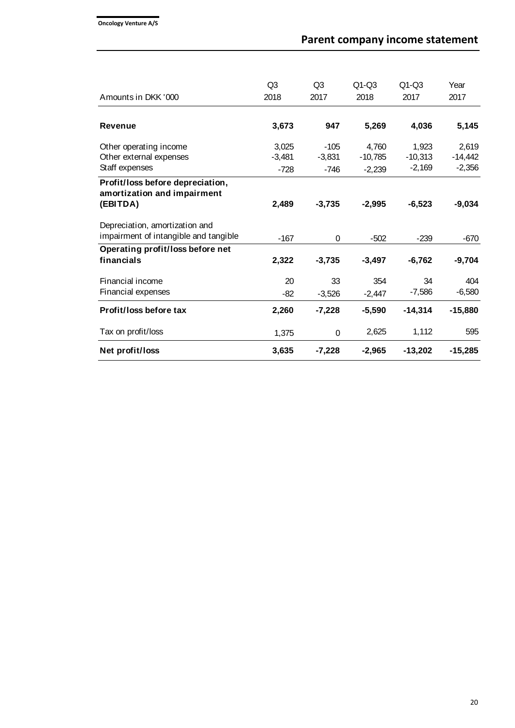| Amounts in DKK '000                   | Q <sub>3</sub><br>2018 | Q <sub>3</sub><br>2017 | $Q1-Q3$<br>2018 | $Q1-Q3$<br>2017 | Year<br>2017 |
|---------------------------------------|------------------------|------------------------|-----------------|-----------------|--------------|
| <b>Revenue</b>                        | 3,673                  | 947                    | 5,269           | 4,036           | 5,145        |
|                                       |                        |                        |                 |                 |              |
| Other operating income                | 3,025                  | $-105$                 | 4,760           | 1,923           | 2,619        |
| Other external expenses               | $-3,481$               | $-3.831$               | $-10,785$       | $-10,313$       | $-14,442$    |
| Staff expenses                        | $-728$                 | $-746$                 | $-2,239$        | $-2,169$        | $-2,356$     |
| Profit/loss before depreciation,      |                        |                        |                 |                 |              |
| amortization and impairment           |                        |                        |                 |                 |              |
| (EBITDA)                              | 2,489                  | $-3,735$               | $-2,995$        | $-6,523$        | $-9,034$     |
| Depreciation, amortization and        |                        |                        |                 |                 |              |
| impairment of intangible and tangible | $-167$                 | 0                      | $-502$          | $-239$          | $-670$       |
| Operating profit/loss before net      |                        |                        |                 |                 |              |
| financials                            | 2,322                  | $-3,735$               | $-3,497$        | $-6,762$        | $-9,704$     |
| Financial income                      | 20                     | 33                     | 354             | 34              | 404          |
| Financial expenses                    | $-82$                  | $-3,526$               | $-2,447$        | $-7,586$        | $-6,580$     |
| Profit/loss before tax                | 2,260                  | $-7,228$               | $-5,590$        | $-14,314$       | $-15,880$    |
| Tax on profit/loss                    | 1,375                  | 0                      | 2,625           | 1,112           | 595          |
| Net profit/loss                       | 3,635                  | $-7,228$               | $-2,965$        | $-13,202$       | $-15,285$    |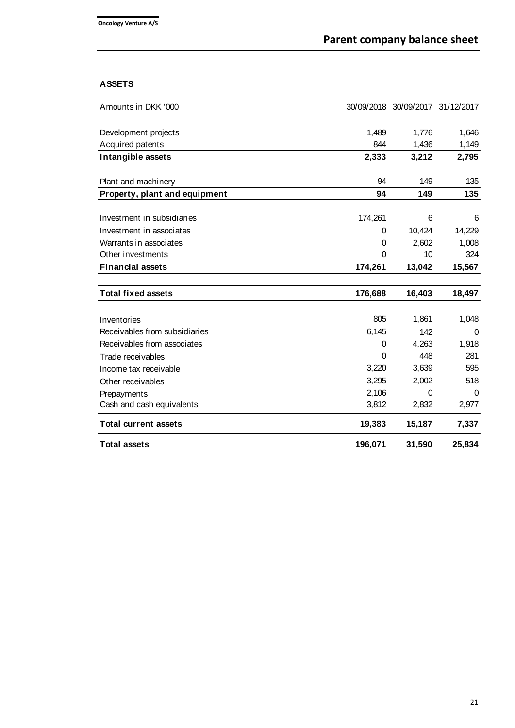# **ASSETS**

| Amounts in DKK '000           |          | 30/09/2018 30/09/2017 31/12/2017 |          |
|-------------------------------|----------|----------------------------------|----------|
|                               |          |                                  |          |
| Development projects          | 1,489    | 1,776                            | 1,646    |
| Acquired patents              | 844      | 1,436                            | 1,149    |
| Intangible assets             | 2,333    | 3,212                            | 2,795    |
|                               |          |                                  |          |
| Plant and machinery           | 94       | 149                              | 135      |
| Property, plant and equipment | 94       | 149                              | 135      |
|                               |          |                                  |          |
| Investment in subsidiaries    | 174,261  | 6                                | 6        |
| Investment in associates      | 0        | 10,424                           | 14,229   |
| Warrants in associates        | $\Omega$ | 2,602                            | 1,008    |
| Other investments             | $\Omega$ | 10                               | 324      |
| <b>Financial assets</b>       | 174,261  | 13,042                           | 15,567   |
|                               |          |                                  |          |
| <b>Total fixed assets</b>     | 176,688  | 16,403                           | 18,497   |
|                               |          |                                  |          |
| Inventories                   | 805      | 1,861                            | 1,048    |
| Receivables from subsidiaries | 6,145    | 142                              | 0        |
| Receivables from associates   | 0        | 4,263                            | 1,918    |
| Trade receivables             | $\Omega$ | 448                              | 281      |
| Income tax receivable         | 3,220    | 3,639                            | 595      |
| Other receivables             | 3,295    | 2,002                            | 518      |
| Prepayments                   | 2,106    | $\Omega$                         | $\Omega$ |
| Cash and cash equivalents     | 3,812    | 2,832                            | 2,977    |
| <b>Total current assets</b>   | 19,383   | 15,187                           | 7,337    |
| <b>Total assets</b>           | 196,071  | 31,590                           | 25,834   |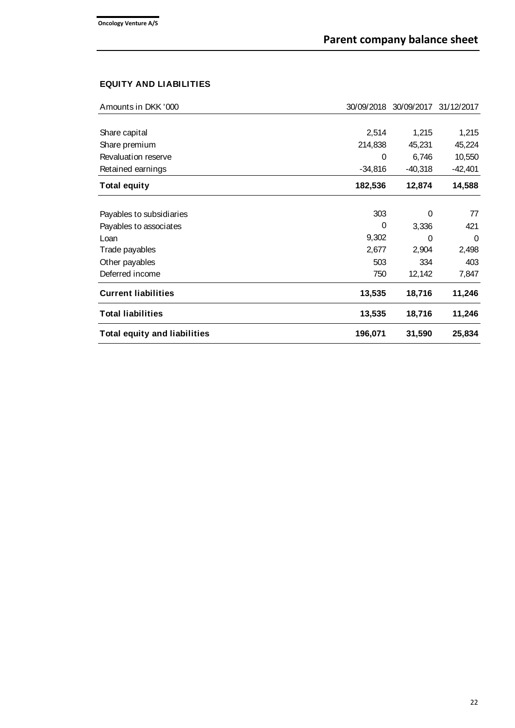# **EQUITY AND LIABILITIES**

| Amounts in DKK '000                 | 30/09/2018 | 30/09/2017 | 31/12/2017 |
|-------------------------------------|------------|------------|------------|
|                                     |            |            |            |
| Share capital                       | 2,514      | 1,215      | 1,215      |
| Share premium                       | 214,838    | 45,231     | 45,224     |
| Revaluation reserve                 | 0          | 6,746      | 10,550     |
| Retained earnings                   | $-34,816$  | $-40,318$  | $-42,401$  |
| <b>Total equity</b>                 | 182,536    | 12,874     | 14,588     |
|                                     |            |            |            |
| Payables to subsidiaries            | 303        | $\Omega$   | 77         |
| Payables to associates              | 0          | 3,336      | 421        |
| Loan                                | 9,302      | 0          | $\Omega$   |
| Trade payables                      | 2,677      | 2,904      | 2,498      |
| Other payables                      | 503        | 334        | 403        |
| Deferred income                     | 750        | 12,142     | 7,847      |
| <b>Current liabilities</b>          | 13,535     | 18,716     | 11,246     |
| <b>Total liabilities</b>            | 13,535     | 18,716     | 11,246     |
| <b>Total equity and liabilities</b> | 196,071    | 31,590     | 25,834     |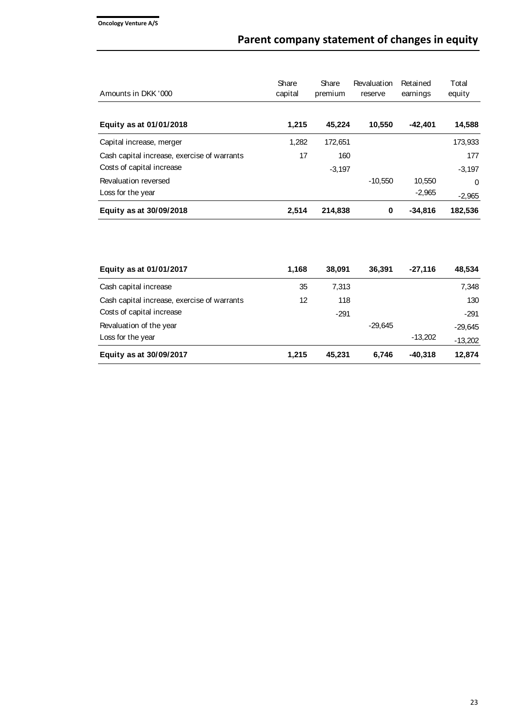| Amounts in DKK '000                                                      | Share<br>capital | Share<br>premium | Revaluation<br>reserve | Retained<br>earnings | Total<br>equity      |
|--------------------------------------------------------------------------|------------------|------------------|------------------------|----------------------|----------------------|
| Equity as at 01/01/2018                                                  | 1.215            | 45.224           | 10.550                 | $-42.401$            | 14,588               |
| Capital increase, merger                                                 | 1,282            | 172,651          |                        |                      | 173,933              |
| Cash capital increase, exercise of warrants<br>Costs of capital increase | 17               | 160<br>$-3.197$  |                        |                      | 177<br>$-3.197$      |
| Revaluation reversed<br>Loss for the year                                |                  |                  | $-10.550$              | 10.550<br>$-2,965$   | $\Omega$<br>$-2,965$ |
| Equity as at 30/09/2018                                                  | 2.514            | 214,838          | 0                      | $-34.816$            | 182,536              |

| Equity as at 01/01/2017                     | 1.168 | 38,091 | 36.391    | $-27.116$ | 48,534    |
|---------------------------------------------|-------|--------|-----------|-----------|-----------|
| Cash capital increase                       | 35    | 7.313  |           |           | 7,348     |
| Cash capital increase, exercise of warrants | 12    | 118    |           |           | 130       |
| Costs of capital increase                   |       | $-291$ |           |           | $-291$    |
| Revaluation of the year                     |       |        | $-29.645$ |           | $-29.645$ |
| Loss for the year                           |       |        |           | $-13.202$ | $-13,202$ |
| Equity as at 30/09/2017                     | 1.215 | 45.231 | 6.746     | -40.318   | 12,874    |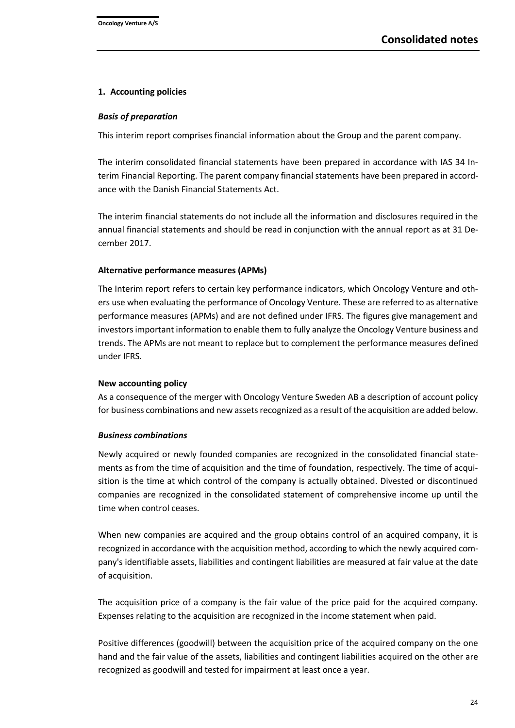#### **1. Accounting policies**

#### *Basis of preparation*

This interim report comprises financial information about the Group and the parent company.

The interim consolidated financial statements have been prepared in accordance with IAS 34 Interim Financial Reporting. The parent company financial statements have been prepared in accordance with the Danish Financial Statements Act.

The interim financial statements do not include all the information and disclosures required in the annual financial statements and should be read in conjunction with the annual report as at 31 December 2017.

## **Alternative performance measures (APMs)**

The Interim report refers to certain key performance indicators, which Oncology Venture and others use when evaluating the performance of Oncology Venture. These are referred to as alternative performance measures (APMs) and are not defined under IFRS. The figures give management and investors important information to enable them to fully analyze the Oncology Venture business and trends. The APMs are not meant to replace but to complement the performance measures defined under IFRS.

#### **New accounting policy**

As a consequence of the merger with Oncology Venture Sweden AB a description of account policy for business combinations and new assets recognized as a result of the acquisition are added below.

#### *Business combinations*

Newly acquired or newly founded companies are recognized in the consolidated financial statements as from the time of acquisition and the time of foundation, respectively. The time of acquisition is the time at which control of the company is actually obtained. Divested or discontinued companies are recognized in the consolidated statement of comprehensive income up until the time when control ceases.

When new companies are acquired and the group obtains control of an acquired company, it is recognized in accordance with the acquisition method, according to which the newly acquired company's identifiable assets, liabilities and contingent liabilities are measured at fair value at the date of acquisition.

The acquisition price of a company is the fair value of the price paid for the acquired company. Expenses relating to the acquisition are recognized in the income statement when paid.

Positive differences (goodwill) between the acquisition price of the acquired company on the one hand and the fair value of the assets, liabilities and contingent liabilities acquired on the other are recognized as goodwill and tested for impairment at least once a year.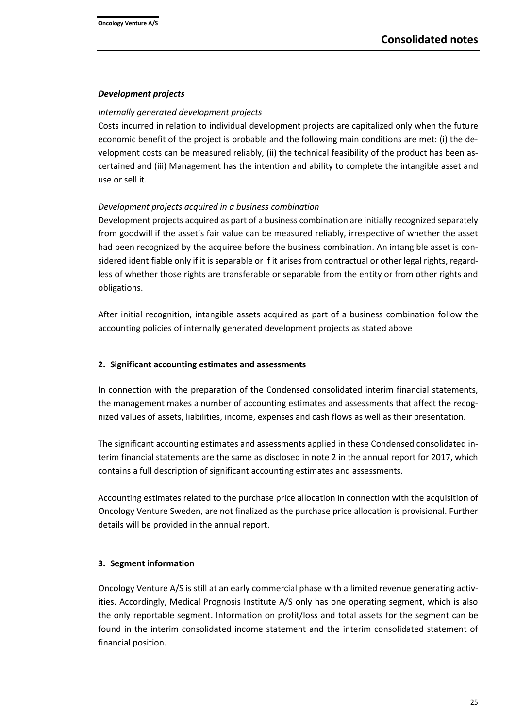#### *Development projects*

#### *Internally generated development projects*

Costs incurred in relation to individual development projects are capitalized only when the future economic benefit of the project is probable and the following main conditions are met: (i) the development costs can be measured reliably, (ii) the technical feasibility of the product has been ascertained and (iii) Management has the intention and ability to complete the intangible asset and use or sell it.

## *Development projects acquired in a business combination*

Development projects acquired as part of a business combination are initially recognized separately from goodwill if the asset's fair value can be measured reliably, irrespective of whether the asset had been recognized by the acquiree before the business combination. An intangible asset is considered identifiable only if it is separable or if it arises from contractual or other legal rights, regardless of whether those rights are transferable or separable from the entity or from other rights and obligations.

After initial recognition, intangible assets acquired as part of a business combination follow the accounting policies of internally generated development projects as stated above

#### **2. Significant accounting estimates and assessments**

In connection with the preparation of the Condensed consolidated interim financial statements, the management makes a number of accounting estimates and assessments that affect the recognized values of assets, liabilities, income, expenses and cash flows as well as their presentation.

The significant accounting estimates and assessments applied in these Condensed consolidated interim financial statements are the same as disclosed in note 2 in the annual report for 2017, which contains a full description of significant accounting estimates and assessments.

Accounting estimates related to the purchase price allocation in connection with the acquisition of Oncology Venture Sweden, are not finalized as the purchase price allocation is provisional. Further details will be provided in the annual report.

## **3. Segment information**

Oncology Venture A/S is still at an early commercial phase with a limited revenue generating activities. Accordingly, Medical Prognosis Institute A/S only has one operating segment, which is also the only reportable segment. Information on profit/loss and total assets for the segment can be found in the interim consolidated income statement and the interim consolidated statement of financial position.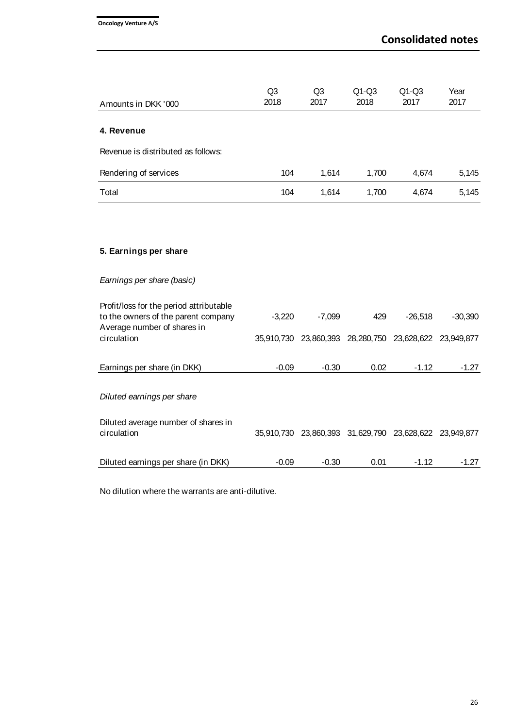| Amounts in DKK '000                                                                                           | Q <sub>3</sub><br>2018 | Q <sub>3</sub><br>2017 | $Q1-Q3$<br>2018                                        | $Q1-Q3$<br>2017 | Year<br>2017 |
|---------------------------------------------------------------------------------------------------------------|------------------------|------------------------|--------------------------------------------------------|-----------------|--------------|
|                                                                                                               |                        |                        |                                                        |                 |              |
| 4. Revenue                                                                                                    |                        |                        |                                                        |                 |              |
| Revenue is distributed as follows:                                                                            |                        |                        |                                                        |                 |              |
| Rendering of services                                                                                         | 104                    | 1,614                  | 1,700                                                  | 4,674           | 5,145        |
| Total                                                                                                         | 104                    | 1,614                  | 1,700                                                  | 4,674           | 5,145        |
|                                                                                                               |                        |                        |                                                        |                 |              |
| 5. Earnings per share                                                                                         |                        |                        |                                                        |                 |              |
| Earnings per share (basic)                                                                                    |                        |                        |                                                        |                 |              |
| Profit/loss for the period attributable<br>to the owners of the parent company<br>Average number of shares in | $-3,220$               | $-7,099$               | 429                                                    | $-26,518$       | $-30,390$    |
| circulation                                                                                                   |                        |                        | 35,910,730 23,860,393 28,280,750 23,628,622 23,949,877 |                 |              |
| Earnings per share (in DKK)                                                                                   | $-0.09$                | $-0.30$                | 0.02                                                   | $-1.12$         | $-1.27$      |
| Diluted earnings per share                                                                                    |                        |                        |                                                        |                 |              |
| Diluted average number of shares in<br>circulation                                                            |                        |                        | 35,910,730 23,860,393 31,629,790 23,628,622 23,949,877 |                 |              |
| Diluted earnings per share (in DKK)                                                                           | $-0.09$                | $-0.30$                | 0.01                                                   | $-1.12$         | $-1.27$      |

No dilution where the warrants are anti-dilutive.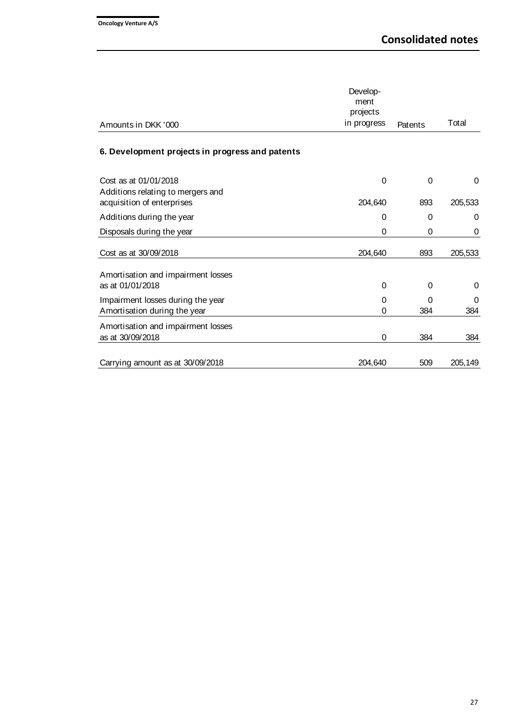| Amounts in DKK '000                                                                      | Develop-<br>ment<br>projects<br>in progress | Patents  | Total        |
|------------------------------------------------------------------------------------------|---------------------------------------------|----------|--------------|
| 6. Development projects in progress and patents                                          |                                             |          |              |
| Cost as at 01/01/2018<br>Additions relating to mergers and<br>acquisition of enterprises | $\mathbf 0$<br>204,640                      | 0<br>893 | 0<br>205,533 |
| Additions during the year                                                                | 0                                           | 0        | 0            |
| Disposals during the year                                                                | 0                                           | 0        | 0            |
| Cost as at 30/09/2018                                                                    | 204,640                                     | 893      | 205,533      |
| Amortisation and impairment losses<br>as at 01/01/2018                                   | 0                                           | 0        | 0            |
| Impairment losses during the year<br>Amortisation during the year                        | 0<br>0                                      | 0<br>384 | 0<br>384     |
| Amortisation and impairment losses<br>as at 30/09/2018                                   | 0                                           | 384      | 384          |
| Carrying amount as at 30/09/2018                                                         | 204,640                                     | 509      | 205,149      |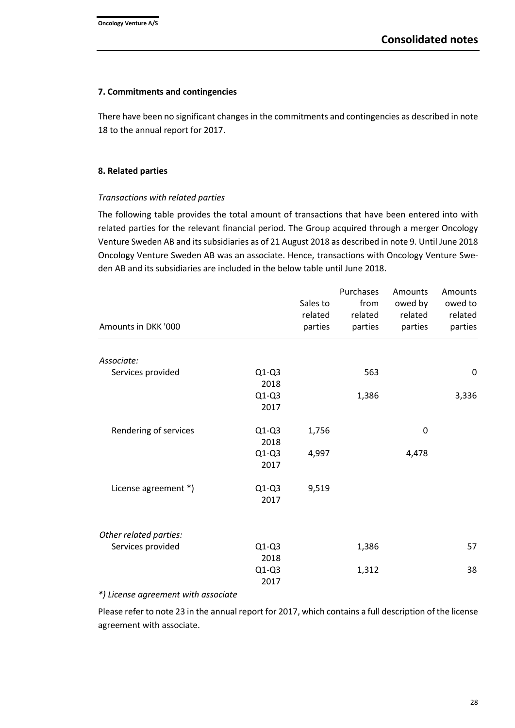#### **7. Commitments and contingencies**

There have been no significant changes in the commitments and contingencies as described in note 18 to the annual report for 2017.

#### **8. Related parties**

## *Transactions with related parties*

The following table provides the total amount of transactions that have been entered into with related parties for the relevant financial period. The Group acquired through a merger Oncology Venture Sweden AB and its subsidiaries as of 21 August 2018 as described in note 9. Until June 2018 Oncology Venture Sweden AB was an associate. Hence, transactions with Oncology Venture Sweden AB and its subsidiaries are included in the below table until June 2018.

| Amounts in DKK '000              | Sales to<br>related<br>parties | Purchases<br>from<br>related<br>parties | Amounts<br>owed by<br>related<br>parties | Amounts<br>owed to<br>related<br>parties |
|----------------------------------|--------------------------------|-----------------------------------------|------------------------------------------|------------------------------------------|
|                                  |                                |                                         |                                          |                                          |
| Associate:                       |                                |                                         |                                          |                                          |
| Services provided<br>$Q1-Q3$     |                                | 563                                     |                                          | 0                                        |
| 2018                             |                                |                                         |                                          |                                          |
| $Q1-Q3$                          |                                | 1,386                                   |                                          | 3,336                                    |
| 2017                             |                                |                                         |                                          |                                          |
| Rendering of services<br>$Q1-Q3$ | 1,756                          |                                         | 0                                        |                                          |
| 2018                             |                                |                                         |                                          |                                          |
| $Q1-Q3$                          | 4,997                          |                                         | 4,478                                    |                                          |
| 2017                             |                                |                                         |                                          |                                          |
| License agreement *)<br>$Q1-Q3$  | 9,519                          |                                         |                                          |                                          |
| 2017                             |                                |                                         |                                          |                                          |
|                                  |                                |                                         |                                          |                                          |
| Other related parties:           |                                |                                         |                                          |                                          |
| Services provided<br>$Q1-Q3$     |                                | 1,386                                   |                                          | 57                                       |
| 2018                             |                                |                                         |                                          |                                          |
| $Q1-Q3$                          |                                | 1,312                                   |                                          | 38                                       |
| 2017                             |                                |                                         |                                          |                                          |

#### *\*) License agreement with associate*

Please refer to note 23 in the annual report for 2017, which contains a full description of the license agreement with associate.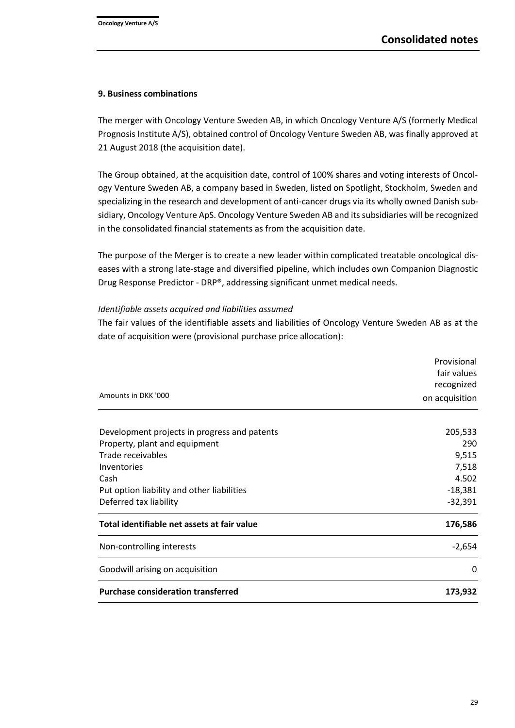#### **9. Business combinations**

The merger with Oncology Venture Sweden AB, in which Oncology Venture A/S (formerly Medical Prognosis Institute A/S), obtained control of Oncology Venture Sweden AB, was finally approved at 21 August 2018 (the acquisition date).

The Group obtained, at the acquisition date, control of 100% shares and voting interests of Oncology Venture Sweden AB, a company based in Sweden, listed on Spotlight, Stockholm, Sweden and specializing in the research and development of anti-cancer drugs via its wholly owned Danish subsidiary, Oncology Venture ApS. Oncology Venture Sweden AB and its subsidiaries will be recognized in the consolidated financial statements as from the acquisition date.

The purpose of the Merger is to create a new leader within complicated treatable oncological diseases with a strong late-stage and diversified pipeline, which includes own Companion Diagnostic Drug Response Predictor - DRP®, addressing significant unmet medical needs.

## *Identifiable assets acquired and liabilities assumed*

The fair values of the identifiable assets and liabilities of Oncology Venture Sweden AB as at the date of acquisition were (provisional purchase price allocation):

|                                              | Provisional    |
|----------------------------------------------|----------------|
|                                              | fair values    |
|                                              | recognized     |
| Amounts in DKK '000                          | on acquisition |
| Development projects in progress and patents | 205,533        |
| Property, plant and equipment                | 290            |
| Trade receivables                            | 9,515          |
| Inventories                                  | 7,518          |
| Cash                                         | 4.502          |
| Put option liability and other liabilities   | $-18,381$      |
| Deferred tax liability                       | $-32,391$      |
| Total identifiable net assets at fair value  | 176,586        |
| Non-controlling interests                    | $-2,654$       |
| Goodwill arising on acquisition              | $\Omega$       |
| <b>Purchase consideration transferred</b>    | 173,932        |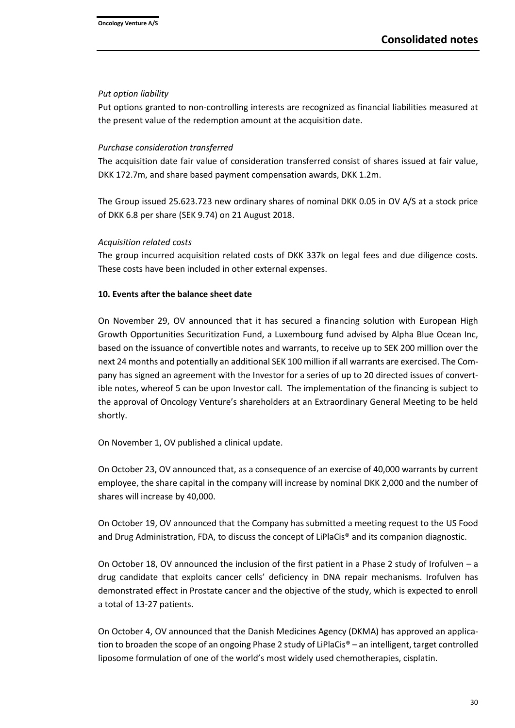#### *Put option liability*

Put options granted to non-controlling interests are recognized as financial liabilities measured at the present value of the redemption amount at the acquisition date.

## *Purchase consideration transferred*

The acquisition date fair value of consideration transferred consist of shares issued at fair value, DKK 172.7m, and share based payment compensation awards, DKK 1.2m.

The Group issued 25.623.723 new ordinary shares of nominal DKK 0.05 in OV A/S at a stock price of DKK 6.8 per share (SEK 9.74) on 21 August 2018.

## *Acquisition related costs*

The group incurred acquisition related costs of DKK 337k on legal fees and due diligence costs. These costs have been included in other external expenses.

## **10. Events after the balance sheet date**

On November 29, OV announced that it has secured a financing solution with European High Growth Opportunities Securitization Fund, a Luxembourg fund advised by Alpha Blue Ocean Inc, based on the issuance of convertible notes and warrants, to receive up to SEK 200 million over the next 24 months and potentially an additional SEK 100 million if all warrants are exercised. The Company has signed an agreement with the Investor for a series of up to 20 directed issues of convertible notes, whereof 5 can be upon Investor call. The implementation of the financing is subject to the approval of Oncology Venture's shareholders at an Extraordinary General Meeting to be held shortly.

On November 1, OV published a clinical update.

On October 23, OV announced that, as a consequence of an exercise of 40,000 warrants by current employee, the share capital in the company will increase by nominal DKK 2,000 and the number of shares will increase by 40,000.

On October 19, OV announced that the Company has submitted a meeting request to the US Food and Drug Administration, FDA, to discuss the concept of LiPlaCis® and its companion diagnostic.

On October 18, OV announced the inclusion of the first patient in a Phase 2 study of Irofulven – a drug candidate that exploits cancer cells' deficiency in DNA repair mechanisms. Irofulven has demonstrated effect in Prostate cancer and the objective of the study, which is expected to enroll a total of 13-27 patients.

On October 4, OV announced that the Danish Medicines Agency (DKMA) has approved an application to broaden the scope of an ongoing Phase 2 study of LiPlaCis® – an intelligent, target controlled liposome formulation of one of the world's most widely used chemotherapies, cisplatin.